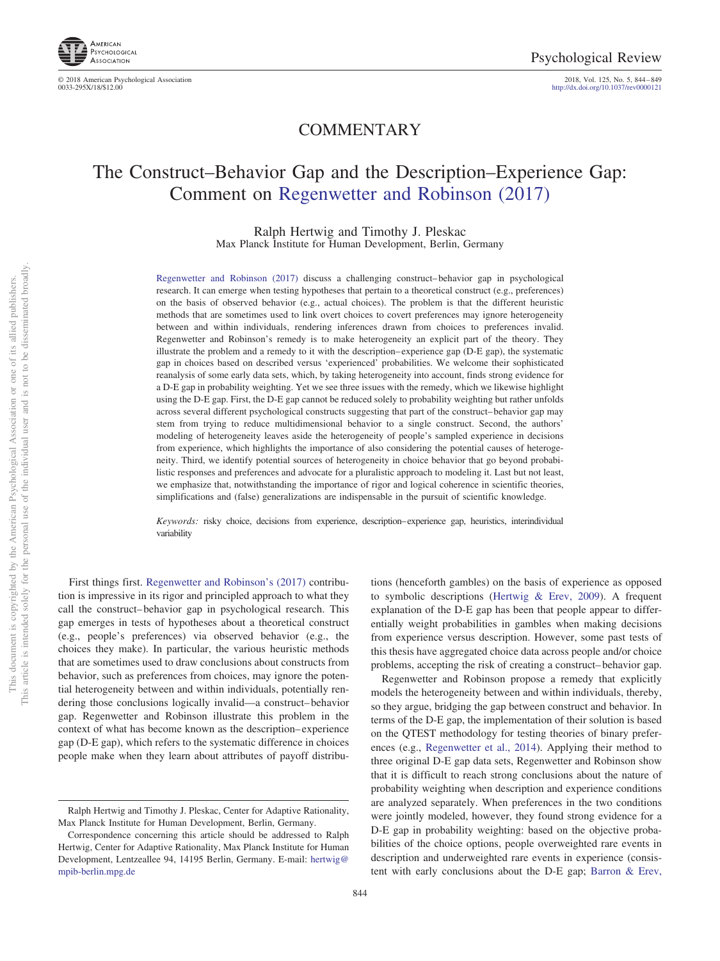

© 2018 American Psychological Association 0033-295X/18/\$12.00

2018, Vol. 125, No. 5, 844-849<br>http://dx.doi.org[/10.1037/rev0000121](http://dx.doi.org/10.1037/rev0000121)

## COMMENTARY

# The Construct–Behavior Gap and the Description–Experience Gap: Comment on [Regenwetter and Robinson \(2017\)](#page-5-0)

Ralph Hertwig and Timothy J. Pleskac Max Planck Institute for Human Development, Berlin, Germany

[Regenwetter and Robinson \(2017\)](#page-5-0) discuss a challenging construct– behavior gap in psychological research. It can emerge when testing hypotheses that pertain to a theoretical construct (e.g., preferences) on the basis of observed behavior (e.g., actual choices). The problem is that the different heuristic methods that are sometimes used to link overt choices to covert preferences may ignore heterogeneity between and within individuals, rendering inferences drawn from choices to preferences invalid. Regenwetter and Robinson's remedy is to make heterogeneity an explicit part of the theory. They illustrate the problem and a remedy to it with the description– experience gap (D-E gap), the systematic gap in choices based on described versus 'experienced' probabilities. We welcome their sophisticated reanalysis of some early data sets, which, by taking heterogeneity into account, finds strong evidence for a D-E gap in probability weighting. Yet we see three issues with the remedy, which we likewise highlight using the D-E gap. First, the D-E gap cannot be reduced solely to probability weighting but rather unfolds across several different psychological constructs suggesting that part of the construct– behavior gap may stem from trying to reduce multidimensional behavior to a single construct. Second, the authors' modeling of heterogeneity leaves aside the heterogeneity of people's sampled experience in decisions from experience, which highlights the importance of also considering the potential causes of heterogeneity. Third, we identify potential sources of heterogeneity in choice behavior that go beyond probabilistic responses and preferences and advocate for a pluralistic approach to modeling it. Last but not least, we emphasize that, notwithstanding the importance of rigor and logical coherence in scientific theories, simplifications and (false) generalizations are indispensable in the pursuit of scientific knowledge.

*Keywords:* risky choice, decisions from experience, description–experience gap, heuristics, interindividual variability

First things first. [Regenwetter and Robinson's \(2017\)](#page-5-0) contribution is impressive in its rigor and principled approach to what they call the construct– behavior gap in psychological research. This gap emerges in tests of hypotheses about a theoretical construct (e.g., people's preferences) via observed behavior (e.g., the choices they make). In particular, the various heuristic methods that are sometimes used to draw conclusions about constructs from behavior, such as preferences from choices, may ignore the potential heterogeneity between and within individuals, potentially rendering those conclusions logically invalid—a construct– behavior gap. Regenwetter and Robinson illustrate this problem in the context of what has become known as the description– experience gap (D-E gap), which refers to the systematic difference in choices people make when they learn about attributes of payoff distribu-

tions (henceforth gambles) on the basis of experience as opposed to symbolic descriptions [\(Hertwig & Erev, 2009\)](#page-5-1). A frequent explanation of the D-E gap has been that people appear to differentially weight probabilities in gambles when making decisions from experience versus description. However, some past tests of this thesis have aggregated choice data across people and/or choice problems, accepting the risk of creating a construct– behavior gap.

Regenwetter and Robinson propose a remedy that explicitly models the heterogeneity between and within individuals, thereby, so they argue, bridging the gap between construct and behavior. In terms of the D-E gap, the implementation of their solution is based on the QTEST methodology for testing theories of binary preferences (e.g., [Regenwetter et al., 2014\)](#page-5-2). Applying their method to three original D-E gap data sets, Regenwetter and Robinson show that it is difficult to reach strong conclusions about the nature of probability weighting when description and experience conditions are analyzed separately. When preferences in the two conditions were jointly modeled, however, they found strong evidence for a D-E gap in probability weighting: based on the objective probabilities of the choice options, people overweighted rare events in description and underweighted rare events in experience (consistent with early conclusions about the D-E gap; [Barron & Erev,](#page-4-0)

Ralph Hertwig and Timothy J. Pleskac, Center for Adaptive Rationality, Max Planck Institute for Human Development, Berlin, Germany.

Correspondence concerning this article should be addressed to Ralph Hertwig, Center for Adaptive Rationality, Max Planck Institute for Human Development, Lentzeallee 94, 14195 Berlin, Germany. E-mail: [hertwig@](mailto:hertwig@mpib-berlin.mpg.de) [mpib-berlin.mpg.de](mailto:hertwig@mpib-berlin.mpg.de)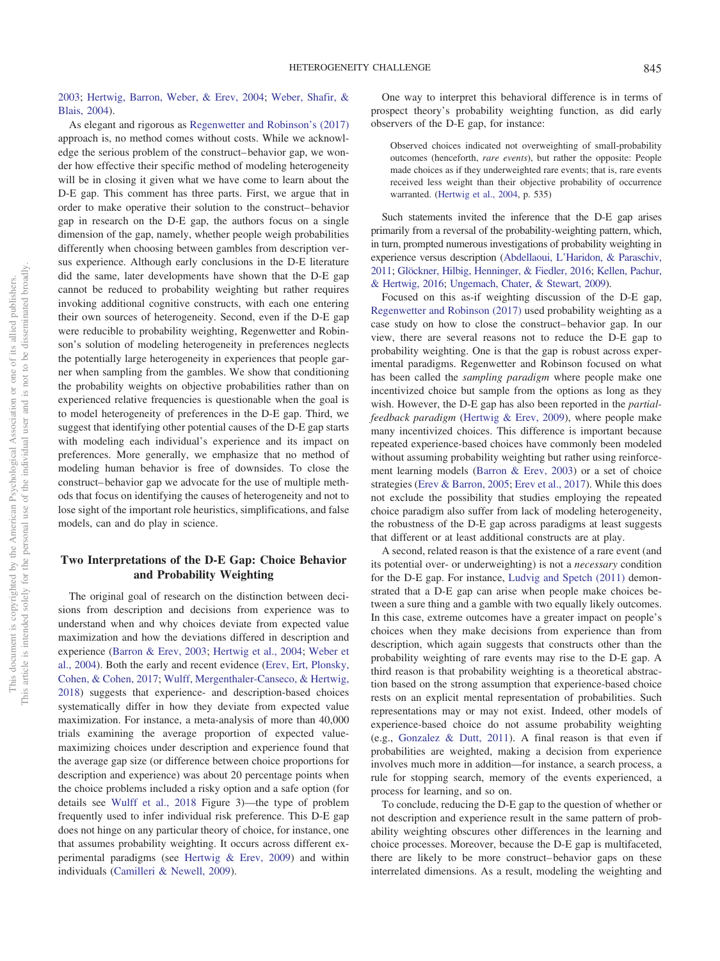[2003;](#page-4-0) [Hertwig, Barron, Weber, & Erev, 2004;](#page-5-3) [Weber, Shafir, &](#page-5-4) [Blais, 2004\)](#page-5-4).

As elegant and rigorous as [Regenwetter and Robinson's \(2017\)](#page-5-0) approach is, no method comes without costs. While we acknowledge the serious problem of the construct– behavior gap, we wonder how effective their specific method of modeling heterogeneity will be in closing it given what we have come to learn about the D-E gap. This comment has three parts. First, we argue that in order to make operative their solution to the construct– behavior gap in research on the D-E gap, the authors focus on a single dimension of the gap, namely, whether people weigh probabilities differently when choosing between gambles from description versus experience. Although early conclusions in the D-E literature did the same, later developments have shown that the D-E gap cannot be reduced to probability weighting but rather requires invoking additional cognitive constructs, with each one entering their own sources of heterogeneity. Second, even if the D-E gap were reducible to probability weighting, Regenwetter and Robinson's solution of modeling heterogeneity in preferences neglects the potentially large heterogeneity in experiences that people garner when sampling from the gambles. We show that conditioning the probability weights on objective probabilities rather than on experienced relative frequencies is questionable when the goal is to model heterogeneity of preferences in the D-E gap. Third, we suggest that identifying other potential causes of the D-E gap starts with modeling each individual's experience and its impact on preferences. More generally, we emphasize that no method of modeling human behavior is free of downsides. To close the construct– behavior gap we advocate for the use of multiple methods that focus on identifying the causes of heterogeneity and not to lose sight of the important role heuristics, simplifications, and false models, can and do play in science.

## **Two Interpretations of the D-E Gap: Choice Behavior and Probability Weighting**

The original goal of research on the distinction between decisions from description and decisions from experience was to understand when and why choices deviate from expected value maximization and how the deviations differed in description and experience [\(Barron & Erev, 2003;](#page-4-0) [Hertwig et al., 2004;](#page-5-3) [Weber et](#page-5-4) [al., 2004\)](#page-5-4). Both the early and recent evidence [\(Erev, Ert, Plonsky,](#page-4-1) [Cohen, & Cohen, 2017;](#page-4-1) [Wulff, Mergenthaler-Canseco, & Hertwig,](#page-5-5) [2018\)](#page-5-5) suggests that experience- and description-based choices systematically differ in how they deviate from expected value maximization. For instance, a meta-analysis of more than 40,000 trials examining the average proportion of expected valuemaximizing choices under description and experience found that the average gap size (or difference between choice proportions for description and experience) was about 20 percentage points when the choice problems included a risky option and a safe option (for details see [Wulff et al., 2018](#page-5-5) Figure 3)—the type of problem frequently used to infer individual risk preference. This D-E gap does not hinge on any particular theory of choice, for instance, one that assumes probability weighting. It occurs across different experimental paradigms (see [Hertwig & Erev, 2009\)](#page-5-1) and within individuals [\(Camilleri & Newell, 2009\)](#page-4-2).

One way to interpret this behavioral difference is in terms of prospect theory's probability weighting function, as did early observers of the D-E gap, for instance:

Observed choices indicated not overweighting of small-probability outcomes (henceforth, *rare events*), but rather the opposite: People made choices as if they underweighted rare events; that is, rare events received less weight than their objective probability of occurrence warranted. [\(Hertwig et al., 2004,](#page-5-3) p. 535)

Such statements invited the inference that the D-E gap arises primarily from a reversal of the probability-weighting pattern, which, in turn, prompted numerous investigations of probability weighting in experience versus description [\(Abdellaoui, L'Haridon, & Paraschiv,](#page-4-3) [2011;](#page-4-3) [Glöckner, Hilbig, Henninger, & Fiedler, 2016;](#page-4-4) [Kellen, Pachur,](#page-5-6) [& Hertwig, 2016;](#page-5-6) [Ungemach, Chater, & Stewart, 2009\)](#page-5-7).

Focused on this as-if weighting discussion of the D-E gap, [Regenwetter and Robinson \(2017\)](#page-5-0) used probability weighting as a case study on how to close the construct– behavior gap. In our view, there are several reasons not to reduce the D-E gap to probability weighting. One is that the gap is robust across experimental paradigms. Regenwetter and Robinson focused on what has been called the *sampling paradigm* where people make one incentivized choice but sample from the options as long as they wish. However, the D-E gap has also been reported in the *partialfeedback paradigm* [\(Hertwig & Erev, 2009\)](#page-5-1), where people make many incentivized choices. This difference is important because repeated experience-based choices have commonly been modeled without assuming probability weighting but rather using reinforcement learning models [\(Barron & Erev, 2003\)](#page-4-0) or a set of choice strategies [\(Erev & Barron, 2005;](#page-4-5) [Erev et al., 2017\)](#page-4-1). While this does not exclude the possibility that studies employing the repeated choice paradigm also suffer from lack of modeling heterogeneity, the robustness of the D-E gap across paradigms at least suggests that different or at least additional constructs are at play.

A second, related reason is that the existence of a rare event (and its potential over- or underweighting) is not a *necessary* condition for the D-E gap. For instance, [Ludvig and Spetch \(2011\)](#page-5-8) demonstrated that a D-E gap can arise when people make choices between a sure thing and a gamble with two equally likely outcomes. In this case, extreme outcomes have a greater impact on people's choices when they make decisions from experience than from description, which again suggests that constructs other than the probability weighting of rare events may rise to the D-E gap. A third reason is that probability weighting is a theoretical abstraction based on the strong assumption that experience-based choice rests on an explicit mental representation of probabilities. Such representations may or may not exist. Indeed, other models of experience-based choice do not assume probability weighting (e.g., [Gonzalez & Dutt, 2011\)](#page-5-9). A final reason is that even if probabilities are weighted, making a decision from experience involves much more in addition—for instance, a search process, a rule for stopping search, memory of the events experienced, a process for learning, and so on.

To conclude, reducing the D-E gap to the question of whether or not description and experience result in the same pattern of probability weighting obscures other differences in the learning and choice processes. Moreover, because the D-E gap is multifaceted, there are likely to be more construct– behavior gaps on these interrelated dimensions. As a result, modeling the weighting and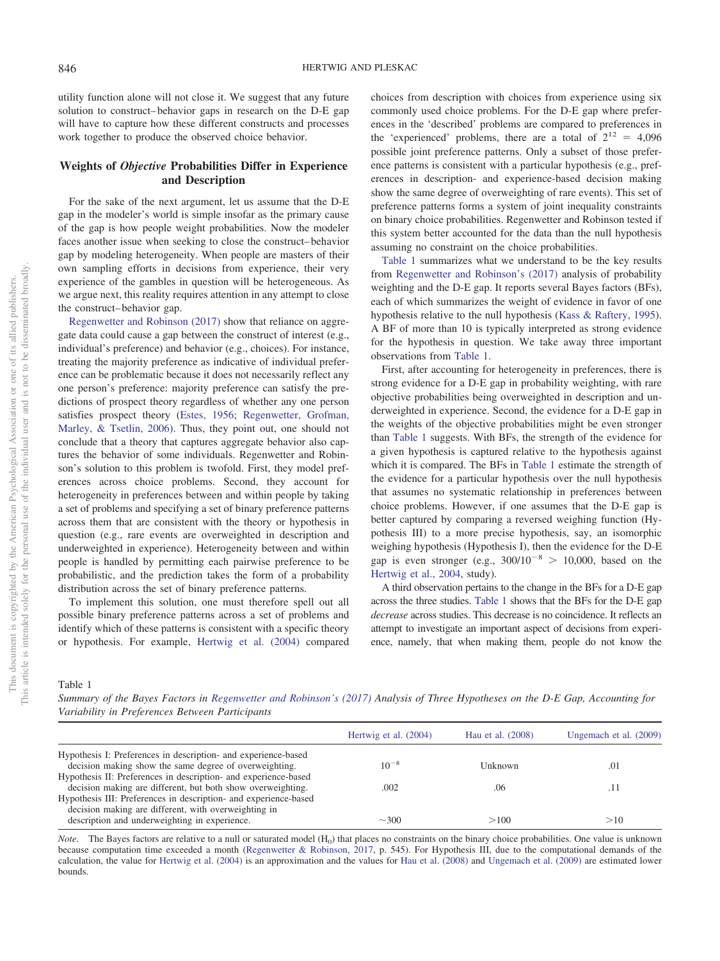utility function alone will not close it. We suggest that any future solution to construct– behavior gaps in research on the D-E gap will have to capture how these different constructs and processes work together to produce the observed choice behavior.

### **Weights of** *Objective* **Probabilities Differ in Experience and Description**

For the sake of the next argument, let us assume that the D-E gap in the modeler's world is simple insofar as the primary cause of the gap is how people weight probabilities. Now the modeler faces another issue when seeking to close the construct– behavior gap by modeling heterogeneity. When people are masters of their own sampling efforts in decisions from experience, their very experience of the gambles in question will be heterogeneous. As we argue next, this reality requires attention in any attempt to close the construct– behavior gap.

[Regenwetter and Robinson \(2017\)](#page-5-0) show that reliance on aggregate data could cause a gap between the construct of interest (e.g., individual's preference) and behavior (e.g., choices). For instance, treating the majority preference as indicative of individual preference can be problematic because it does not necessarily reflect any one person's preference: majority preference can satisfy the predictions of prospect theory regardless of whether any one person satisfies prospect theory [\(Estes, 1956;](#page-4-6) [Regenwetter, Grofman,](#page-5-10) [Marley, & Tsetlin, 2006\)](#page-5-10). Thus, they point out, one should not conclude that a theory that captures aggregate behavior also captures the behavior of some individuals. Regenwetter and Robinson's solution to this problem is twofold. First, they model preferences across choice problems. Second, they account for heterogeneity in preferences between and within people by taking a set of problems and specifying a set of binary preference patterns across them that are consistent with the theory or hypothesis in question (e.g., rare events are overweighted in description and underweighted in experience). Heterogeneity between and within people is handled by permitting each pairwise preference to be probabilistic, and the prediction takes the form of a probability distribution across the set of binary preference patterns.

To implement this solution, one must therefore spell out all possible binary preference patterns across a set of problems and identify which of these patterns is consistent with a specific theory or hypothesis. For example, [Hertwig et al. \(2004\)](#page-5-3) compared choices from description with choices from experience using six commonly used choice problems. For the D-E gap where preferences in the 'described' problems are compared to preferences in the 'experienced' problems, there are a total of  $2^{12} = 4,096$ possible joint preference patterns. Only a subset of those preference patterns is consistent with a particular hypothesis (e.g., preferences in description- and experience-based decision making show the same degree of overweighting of rare events). This set of preference patterns forms a system of joint inequality constraints on binary choice probabilities. Regenwetter and Robinson tested if this system better accounted for the data than the null hypothesis assuming no constraint on the choice probabilities.

[Table 1](#page-2-0) summarizes what we understand to be the key results from [Regenwetter and Robinson's \(2017\)](#page-5-0) analysis of probability weighting and the D-E gap. It reports several Bayes factors (BFs), each of which summarizes the weight of evidence in favor of one hypothesis relative to the null hypothesis [\(Kass & Raftery, 1995\)](#page-5-11). A BF of more than 10 is typically interpreted as strong evidence for the hypothesis in question. We take away three important observations from [Table 1.](#page-2-0)

First, after accounting for heterogeneity in preferences, there is strong evidence for a D-E gap in probability weighting, with rare objective probabilities being overweighted in description and underweighted in experience. Second, the evidence for a D-E gap in the weights of the objective probabilities might be even stronger than [Table 1](#page-2-0) suggests. With BFs, the strength of the evidence for a given hypothesis is captured relative to the hypothesis against which it is compared. The BFs in [Table 1](#page-2-0) estimate the strength of the evidence for a particular hypothesis over the null hypothesis that assumes no systematic relationship in preferences between choice problems. However, if one assumes that the D-E gap is better captured by comparing a reversed weighing function (Hypothesis III) to a more precise hypothesis, say, an isomorphic weighing hypothesis (Hypothesis I), then the evidence for the D-E gap is even stronger (e.g.,  $300/10^{-8}$  > 10,000, based on the [Hertwig et al., 2004,](#page-5-3) study).

A third observation pertains to the change in the BFs for a D-E gap across the three studies. [Table 1](#page-2-0) shows that the BFs for the D-E gap *decrease* across studies. This decrease is no coincidence. It reflects an attempt to investigate an important aspect of decisions from experience, namely, that when making them, people do not know the

<span id="page-2-0"></span>Table 1

*Summary of the Bayes Factors in [Regenwetter and Robinson's \(2017\)](#page-5-0) Analysis of Three Hypotheses on the D-E Gap, Accounting for Variability in Preferences Between Participants*

|                                                                  | Hertwig et al. (2004) | Hau et al. (2008) | Ungemach et al. (2009) |
|------------------------------------------------------------------|-----------------------|-------------------|------------------------|
| Hypothesis I: Preferences in description- and experience-based   |                       |                   |                        |
| decision making show the same degree of overweighting.           | $10^{-8}$             | Unknown           | .01                    |
| Hypothesis II: Preferences in description- and experience-based  |                       |                   |                        |
| decision making are different, but both show overweighting.      | .002                  | .06               |                        |
| Hypothesis III: Preferences in description- and experience-based |                       |                   |                        |
| decision making are different, with overweighting in             |                       |                   |                        |
| description and underweighting in experience.                    | $-300$                | >100              | >10                    |

*Note.* The Bayes factors are relative to a null or saturated model (H<sub>0</sub>) that places no constraints on the binary choice probabilities. One value is unknown because computation time exceeded a month [\(Regenwetter & Robinson, 2017,](#page-5-0) p. 545). For Hypothesis III, due to the computational demands of the calculation, the value for [Hertwig et al. \(2004\)](#page-5-3) is an approximation and the values for [Hau et al. \(2008\)](#page-5-12) and [Ungemach et al. \(2009\)](#page-5-7) are estimated lower bounds.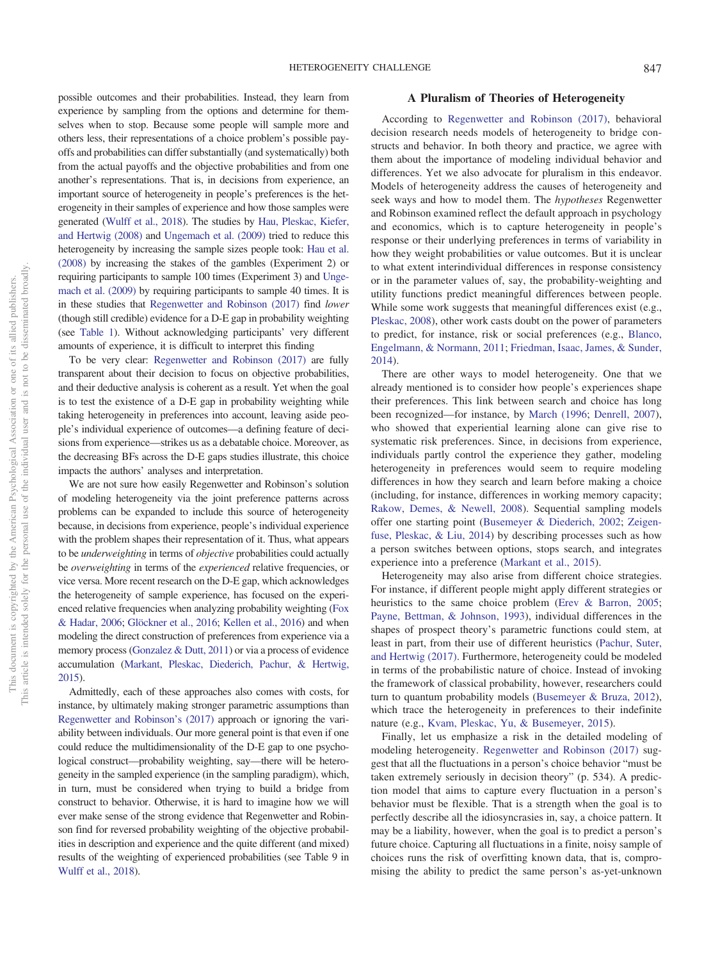possible outcomes and their probabilities. Instead, they learn from experience by sampling from the options and determine for themselves when to stop. Because some people will sample more and others less, their representations of a choice problem's possible payoffs and probabilities can differ substantially (and systematically) both from the actual payoffs and the objective probabilities and from one another's representations. That is, in decisions from experience, an important source of heterogeneity in people's preferences is the heterogeneity in their samples of experience and how those samples were generated [\(Wulff et al., 2018\)](#page-5-5). The studies by [Hau, Pleskac, Kiefer,](#page-5-12) [and Hertwig \(2008\)](#page-5-12) and [Ungemach et al. \(2009\)](#page-5-7) tried to reduce this heterogeneity by increasing the sample sizes people took: [Hau et al.](#page-5-12) [\(2008\)](#page-5-12) by increasing the stakes of the gambles (Experiment 2) or requiring participants to sample 100 times (Experiment 3) and [Unge](#page-5-7)[mach et al. \(2009\)](#page-5-7) by requiring participants to sample 40 times. It is in these studies that [Regenwetter and Robinson \(2017\)](#page-5-0) find *lower* (though still credible) evidence for a D-E gap in probability weighting (see [Table 1\)](#page-2-0). Without acknowledging participants' very different amounts of experience, it is difficult to interpret this finding

To be very clear: [Regenwetter and Robinson \(2017\)](#page-5-0) are fully transparent about their decision to focus on objective probabilities, and their deductive analysis is coherent as a result. Yet when the goal is to test the existence of a D-E gap in probability weighting while taking heterogeneity in preferences into account, leaving aside people's individual experience of outcomes—a defining feature of decisions from experience—strikes us as a debatable choice. Moreover, as the decreasing BFs across the D-E gaps studies illustrate, this choice impacts the authors' analyses and interpretation.

We are not sure how easily Regenwetter and Robinson's solution of modeling heterogeneity via the joint preference patterns across problems can be expanded to include this source of heterogeneity because, in decisions from experience, people's individual experience with the problem shapes their representation of it. Thus, what appears to be *underweighting* in terms of *objective* probabilities could actually be *overweighting* in terms of the *experienced* relative frequencies, or vice versa. More recent research on the D-E gap, which acknowledges the heterogeneity of sample experience, has focused on the experienced relative frequencies when analyzing probability weighting [\(Fox](#page-4-7) [& Hadar, 2006;](#page-4-7) [Glöckner et al., 2016;](#page-4-4) [Kellen et al., 2016\)](#page-5-6) and when modeling the direct construction of preferences from experience via a memory process [\(Gonzalez & Dutt, 2011\)](#page-5-9) or via a process of evidence accumulation [\(Markant, Pleskac, Diederich, Pachur, & Hertwig,](#page-5-13) [2015\)](#page-5-13).

Admittedly, each of these approaches also comes with costs, for instance, by ultimately making stronger parametric assumptions than [Regenwetter and Robinson's \(2017\)](#page-5-0) approach or ignoring the variability between individuals. Our more general point is that even if one could reduce the multidimensionality of the D-E gap to one psychological construct—probability weighting, say—there will be heterogeneity in the sampled experience (in the sampling paradigm), which, in turn, must be considered when trying to build a bridge from construct to behavior. Otherwise, it is hard to imagine how we will ever make sense of the strong evidence that Regenwetter and Robinson find for reversed probability weighting of the objective probabilities in description and experience and the quite different (and mixed) results of the weighting of experienced probabilities (see Table 9 in [Wulff et al., 2018\)](#page-5-5).

#### **A Pluralism of Theories of Heterogeneity**

According to [Regenwetter and Robinson \(2017\),](#page-5-0) behavioral decision research needs models of heterogeneity to bridge constructs and behavior. In both theory and practice, we agree with them about the importance of modeling individual behavior and differences. Yet we also advocate for pluralism in this endeavor. Models of heterogeneity address the causes of heterogeneity and seek ways and how to model them. The *hypotheses* Regenwetter and Robinson examined reflect the default approach in psychology and economics, which is to capture heterogeneity in people's response or their underlying preferences in terms of variability in how they weight probabilities or value outcomes. But it is unclear to what extent interindividual differences in response consistency or in the parameter values of, say, the probability-weighting and utility functions predict meaningful differences between people. While some work suggests that meaningful differences exist (e.g., [Pleskac, 2008\)](#page-5-14), other work casts doubt on the power of parameters to predict, for instance, risk or social preferences (e.g., [Blanco,](#page-4-8) [Engelmann, & Normann, 2011;](#page-4-8) [Friedman, Isaac, James, & Sunder,](#page-4-9) [2014\)](#page-4-9).

There are other ways to model heterogeneity. One that we already mentioned is to consider how people's experiences shape their preferences. This link between search and choice has long been recognized—for instance, by [March \(1996;](#page-5-15) [Denrell, 2007\)](#page-4-10), who showed that experiential learning alone can give rise to systematic risk preferences. Since, in decisions from experience, individuals partly control the experience they gather, modeling heterogeneity in preferences would seem to require modeling differences in how they search and learn before making a choice (including, for instance, differences in working memory capacity; [Rakow, Demes, & Newell, 2008\)](#page-5-16). Sequential sampling models offer one starting point [\(Busemeyer & Diederich, 2002;](#page-4-11) [Zeigen](#page-5-17)[fuse, Pleskac, & Liu, 2014\)](#page-5-17) by describing processes such as how a person switches between options, stops search, and integrates experience into a preference [\(Markant et al., 2015\)](#page-5-13).

Heterogeneity may also arise from different choice strategies. For instance, if different people might apply different strategies or heuristics to the same choice problem [\(Erev & Barron, 2005;](#page-4-5) [Payne, Bettman, & Johnson, 1993\)](#page-5-18), individual differences in the shapes of prospect theory's parametric functions could stem, at least in part, from their use of different heuristics [\(Pachur, Suter,](#page-5-19) [and Hertwig \(2017\).](#page-5-19) Furthermore, heterogeneity could be modeled in terms of the probabilistic nature of choice. Instead of invoking the framework of classical probability, however, researchers could turn to quantum probability models [\(Busemeyer & Bruza, 2012\)](#page-4-12), which trace the heterogeneity in preferences to their indefinite nature (e.g., [Kvam, Pleskac, Yu, & Busemeyer, 2015\)](#page-5-20).

Finally, let us emphasize a risk in the detailed modeling of modeling heterogeneity. [Regenwetter and Robinson \(2017\)](#page-5-0) suggest that all the fluctuations in a person's choice behavior "must be taken extremely seriously in decision theory" (p. 534). A prediction model that aims to capture every fluctuation in a person's behavior must be flexible. That is a strength when the goal is to perfectly describe all the idiosyncrasies in, say, a choice pattern. It may be a liability, however, when the goal is to predict a person's future choice. Capturing all fluctuations in a finite, noisy sample of choices runs the risk of overfitting known data, that is, compromising the ability to predict the same person's as-yet-unknown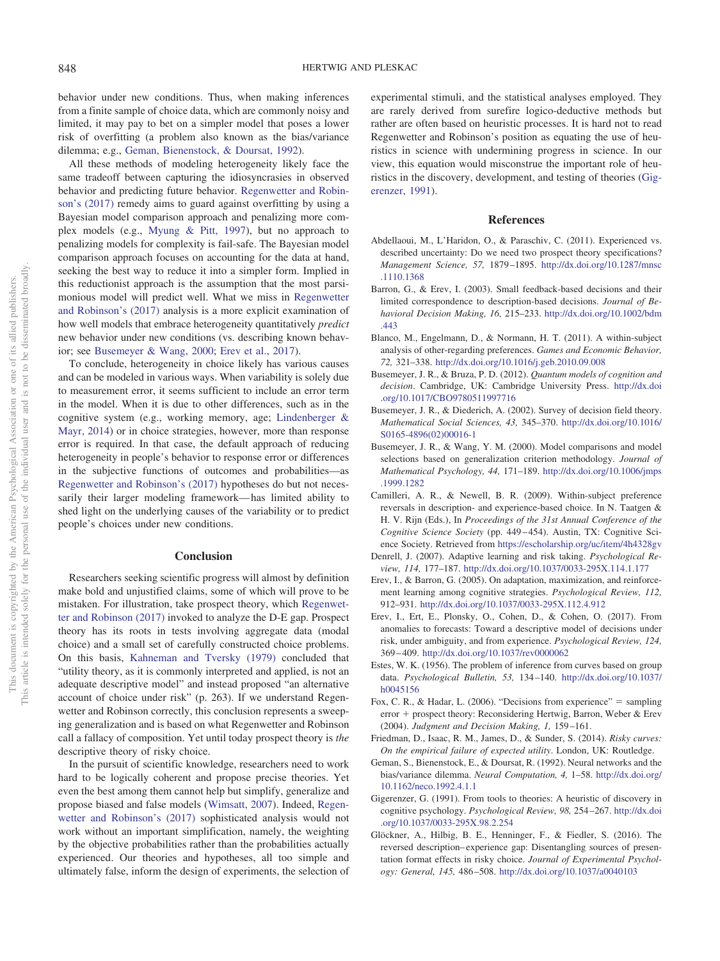behavior under new conditions. Thus, when making inferences from a finite sample of choice data, which are commonly noisy and limited, it may pay to bet on a simpler model that poses a lower risk of overfitting (a problem also known as the bias/variance dilemma; e.g., [Geman, Bienenstock, & Doursat, 1992\)](#page-4-13).

All these methods of modeling heterogeneity likely face the same tradeoff between capturing the idiosyncrasies in observed behavior and predicting future behavior. [Regenwetter and Robin](#page-5-0)[son's \(2017\)](#page-5-0) remedy aims to guard against overfitting by using a Bayesian model comparison approach and penalizing more complex models (e.g., [Myung & Pitt, 1997\)](#page-5-21), but no approach to penalizing models for complexity is fail-safe. The Bayesian model comparison approach focuses on accounting for the data at hand, seeking the best way to reduce it into a simpler form. Implied in this reductionist approach is the assumption that the most parsimonious model will predict well. What we miss in [Regenwetter](#page-5-0) [and Robinson's \(2017\)](#page-5-0) analysis is a more explicit examination of how well models that embrace heterogeneity quantitatively *predict* new behavior under new conditions (vs. describing known behavior; see [Busemeyer & Wang, 2000;](#page-4-14) [Erev et al., 2017\)](#page-4-1).

To conclude, heterogeneity in choice likely has various causes and can be modeled in various ways. When variability is solely due to measurement error, it seems sufficient to include an error term in the model. When it is due to other differences, such as in the cognitive system (e.g., working memory, age; [Lindenberger &](#page-5-22) [Mayr, 2014\)](#page-5-22) or in choice strategies, however, more than response error is required. In that case, the default approach of reducing heterogeneity in people's behavior to response error or differences in the subjective functions of outcomes and probabilities—as [Regenwetter and Robinson's \(2017\)](#page-5-0) hypotheses do but not necessarily their larger modeling framework— has limited ability to shed light on the underlying causes of the variability or to predict people's choices under new conditions.

#### **Conclusion**

Researchers seeking scientific progress will almost by definition make bold and unjustified claims, some of which will prove to be mistaken. For illustration, take prospect theory, which [Regenwet](#page-5-0)[ter and Robinson \(2017\)](#page-5-0) invoked to analyze the D-E gap. Prospect theory has its roots in tests involving aggregate data (modal choice) and a small set of carefully constructed choice problems. On this basis, [Kahneman and Tversky \(1979\)](#page-5-23) concluded that "utility theory, as it is commonly interpreted and applied, is not an adequate descriptive model" and instead proposed "an alternative account of choice under risk" (p. 263). If we understand Regenwetter and Robinson correctly, this conclusion represents a sweeping generalization and is based on what Regenwetter and Robinson call a fallacy of composition. Yet until today prospect theory is *the* descriptive theory of risky choice.

In the pursuit of scientific knowledge, researchers need to work hard to be logically coherent and propose precise theories. Yet even the best among them cannot help but simplify, generalize and propose biased and false models [\(Wimsatt, 2007\)](#page-5-24). Indeed, [Regen](#page-5-0)[wetter and Robinson's \(2017\)](#page-5-0) sophisticated analysis would not work without an important simplification, namely, the weighting by the objective probabilities rather than the probabilities actually experienced. Our theories and hypotheses, all too simple and ultimately false, inform the design of experiments, the selection of experimental stimuli, and the statistical analyses employed. They are rarely derived from surefire logico-deductive methods but rather are often based on heuristic processes. It is hard not to read Regenwetter and Robinson's position as equating the use of heuristics in science with undermining progress in science. In our view, this equation would misconstrue the important role of heuristics in the discovery, development, and testing of theories [\(Gig](#page-4-15)[erenzer, 1991\)](#page-4-15).

#### **References**

- <span id="page-4-3"></span>Abdellaoui, M., L'Haridon, O., & Paraschiv, C. (2011). Experienced vs. described uncertainty: Do we need two prospect theory specifications? *Management Science, 57,* 1879 –1895. [http://dx.doi.org/10.1287/mnsc](http://dx.doi.org/10.1287/mnsc.1110.1368) [.1110.1368](http://dx.doi.org/10.1287/mnsc.1110.1368)
- <span id="page-4-0"></span>Barron, G., & Erev, I. (2003). Small feedback-based decisions and their limited correspondence to description-based decisions. *Journal of Behavioral Decision Making, 16,* 215–233. [http://dx.doi.org/10.1002/bdm](http://dx.doi.org/10.1002/bdm.443) [.443](http://dx.doi.org/10.1002/bdm.443)
- <span id="page-4-8"></span>Blanco, M., Engelmann, D., & Normann, H. T. (2011). A within-subject analysis of other-regarding preferences. *Games and Economic Behavior, 72,* 321–338. <http://dx.doi.org/10.1016/j.geb.2010.09.008>
- <span id="page-4-12"></span>Busemeyer, J. R., & Bruza, P. D. (2012). *Quantum models of cognition and decision*. Cambridge, UK: Cambridge University Press. [http://dx.doi](http://dx.doi.org/10.1017/CBO9780511997716) [.org/10.1017/CBO9780511997716](http://dx.doi.org/10.1017/CBO9780511997716)
- <span id="page-4-11"></span>Busemeyer, J. R., & Diederich, A. (2002). Survey of decision field theory. *Mathematical Social Sciences, 43,* 345–370. [http://dx.doi.org/10.1016/](http://dx.doi.org/10.1016/S0165-4896%2802%2900016-1) [S0165-4896\(02\)00016-1](http://dx.doi.org/10.1016/S0165-4896%2802%2900016-1)
- <span id="page-4-14"></span>Busemeyer, J. R., & Wang, Y. M. (2000). Model comparisons and model selections based on generalization criterion methodology. *Journal of Mathematical Psychology, 44,* 171–189. [http://dx.doi.org/10.1006/jmps](http://dx.doi.org/10.1006/jmps.1999.1282) [.1999.1282](http://dx.doi.org/10.1006/jmps.1999.1282)
- <span id="page-4-2"></span>Camilleri, A. R., & Newell, B. R. (2009). Within-subject preference reversals in description- and experience-based choice. In N. Taatgen & H. V. Rijn (Eds.), In *Proceedings of the 31st Annual Conference of the Cognitive Science Society* (pp. 449 – 454). Austin, TX: Cognitive Science Society. Retrieved from <https://escholarship.org/uc/item/4h4328gv>
- <span id="page-4-10"></span>Denrell, J. (2007). Adaptive learning and risk taking. *Psychological Review, 114,* 177–187. <http://dx.doi.org/10.1037/0033-295X.114.1.177>
- <span id="page-4-5"></span>Erev, I., & Barron, G. (2005). On adaptation, maximization, and reinforcement learning among cognitive strategies. *Psychological Review, 112,* 912–931. <http://dx.doi.org/10.1037/0033-295X.112.4.912>
- <span id="page-4-1"></span>Erev, I., Ert, E., Plonsky, O., Cohen, D., & Cohen, O. (2017). From anomalies to forecasts: Toward a descriptive model of decisions under risk, under ambiguity, and from experience. *Psychological Review, 124,* 369 – 409. <http://dx.doi.org/10.1037/rev0000062>
- <span id="page-4-6"></span>Estes, W. K. (1956). The problem of inference from curves based on group data. *Psychological Bulletin, 53,* 134 –140. [http://dx.doi.org/10.1037/](http://dx.doi.org/10.1037/h0045156) [h0045156](http://dx.doi.org/10.1037/h0045156)
- <span id="page-4-7"></span>Fox, C. R., & Hadar, L. (2006). "Decisions from experience" = sampling error + prospect theory: Reconsidering Hertwig, Barron, Weber & Erev (2004). *Judgment and Decision Making, 1,* 159 –161.
- <span id="page-4-9"></span>Friedman, D., Isaac, R. M., James, D., & Sunder, S. (2014). *Risky curves: On the empirical failure of expected utility*. London, UK: Routledge.
- <span id="page-4-13"></span>Geman, S., Bienenstock, E., & Doursat, R. (1992). Neural networks and the bias/variance dilemma. *Neural Computation, 4,* 1–58. [http://dx.doi.org/](http://dx.doi.org/10.1162/neco.1992.4.1.1) [10.1162/neco.1992.4.1.1](http://dx.doi.org/10.1162/neco.1992.4.1.1)
- <span id="page-4-15"></span>Gigerenzer, G. (1991). From tools to theories: A heuristic of discovery in cognitive psychology. *Psychological Review, 98,* 254 –267. [http://dx.doi](http://dx.doi.org/10.1037/0033-295X.98.2.254) [.org/10.1037/0033-295X.98.2.254](http://dx.doi.org/10.1037/0033-295X.98.2.254)
- <span id="page-4-4"></span>Glöckner, A., Hilbig, B. E., Henninger, F., & Fiedler, S. (2016). The reversed description– experience gap: Disentangling sources of presentation format effects in risky choice. *Journal of Experimental Psychology: General, 145,* 486 –508. <http://dx.doi.org/10.1037/a0040103>